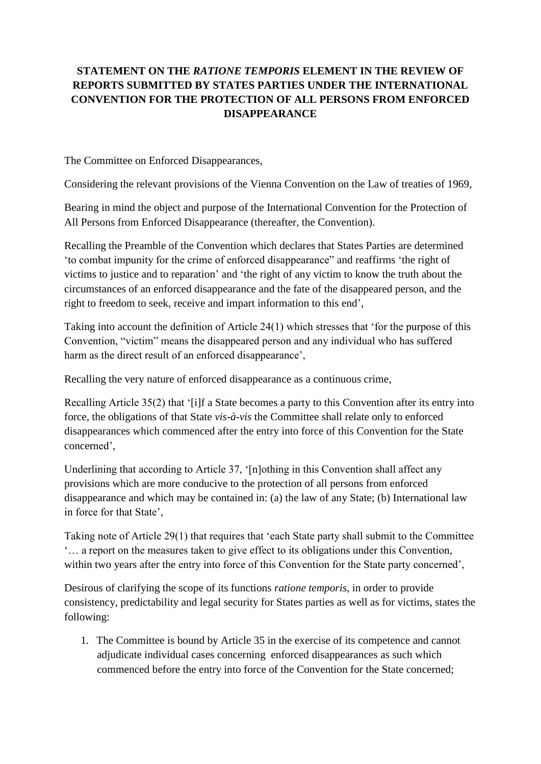## **STATEMENT ON THE** *RATIONE TEMPORIS* **ELEMENT IN THE REVIEW OF REPORTS SUBMITTED BY STATES PARTIES UNDER THE INTERNATIONAL CONVENTION FOR THE PROTECTION OF ALL PERSONS FROM ENFORCED DISAPPEARANCE**

The Committee on Enforced Disappearances,

Considering the relevant provisions of the Vienna Convention on the Law of treaties of 1969,

Bearing in mind the object and purpose of the International Convention for the Protection of All Persons from Enforced Disappearance (thereafter, the Convention).

Recalling the Preamble of the Convention which declares that States Parties are determined 'to combat impunity for the crime of enforced disappearance" and reaffirms 'the right of victims to justice and to reparation' and 'the right of any victim to know the truth about the circumstances of an enforced disappearance and the fate of the disappeared person, and the right to freedom to seek, receive and impart information to this end',

Taking into account the definition of Article 24(1) which stresses that 'for the purpose of this Convention, "victim" means the disappeared person and any individual who has suffered harm as the direct result of an enforced disappearance',

Recalling the very nature of enforced disappearance as a continuous crime,

Recalling Article 35(2) that '[i]f a State becomes a party to this Convention after its entry into force, the obligations of that State *vis-à-vis* the Committee shall relate only to enforced disappearances which commenced after the entry into force of this Convention for the State concerned',

Underlining that according to Article 37, '[n]othing in this Convention shall affect any provisions which are more conducive to the protection of all persons from enforced disappearance and which may be contained in: (a) the law of any State; (b) International law in force for that State',

Taking note of Article 29(1) that requires that 'each State party shall submit to the Committee '… a report on the measures taken to give effect to its obligations under this Convention, within two years after the entry into force of this Convention for the State party concerned',

Desirous of clarifying the scope of its functions *ratione temporis*, in order to provide consistency, predictability and legal security for States parties as well as for victims, states the following:

1. The Committee is bound by Article 35 in the exercise of its competence and cannot adjudicate individual cases concerning enforced disappearances as such which commenced before the entry into force of the Convention for the State concerned;